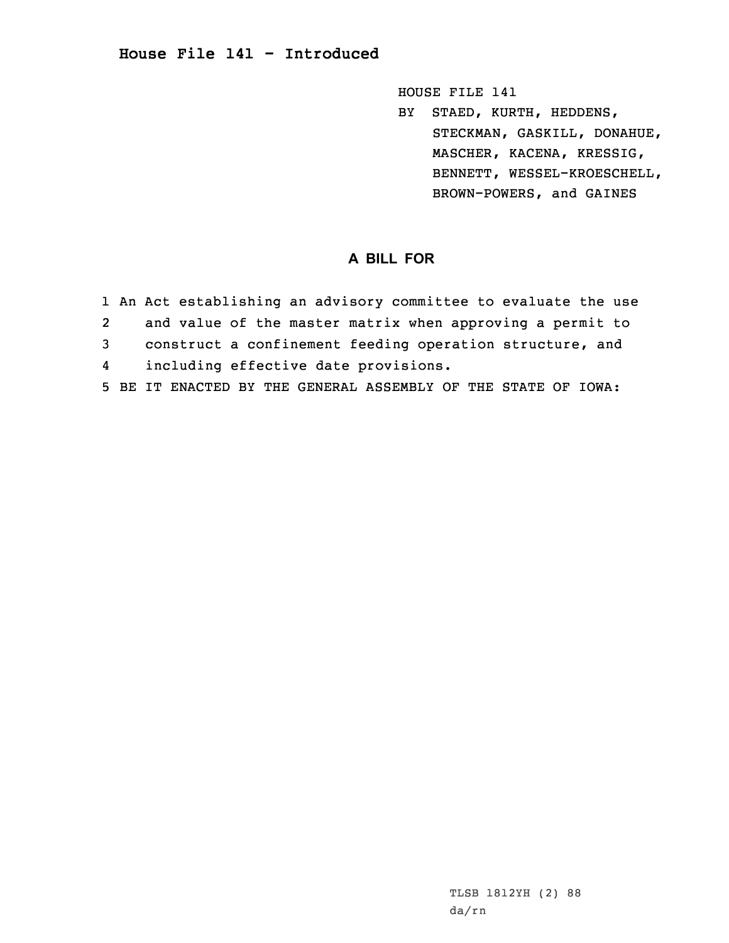## **House File 141 - Introduced**

HOUSE FILE 141

BY STAED, KURTH, HEDDENS, STECKMAN, GASKILL, DONAHUE, MASCHER, KACENA, KRESSIG, BENNETT, WESSEL-KROESCHELL, BROWN-POWERS, and GAINES

## **A BILL FOR**

- 1 An Act establishing an advisory committee to evaluate the use
- 2and value of the master matrix when approving <sup>a</sup> permit to
- 3 construct <sup>a</sup> confinement feeding operation structure, and
- 4including effective date provisions.
- 5 BE IT ENACTED BY THE GENERAL ASSEMBLY OF THE STATE OF IOWA: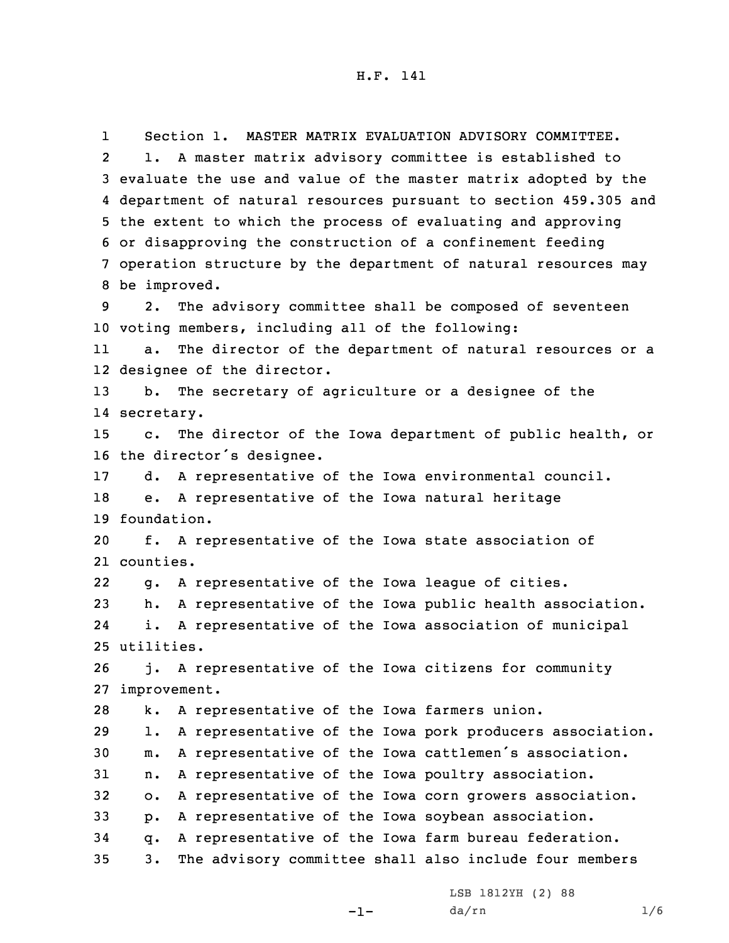1 Section 1. MASTER MATRIX EVALUATION ADVISORY COMMITTEE. 2 1. <sup>A</sup> master matrix advisory committee is established to evaluate the use and value of the master matrix adopted by the department of natural resources pursuant to section 459.305 and the extent to which the process of evaluating and approving or disapproving the construction of <sup>a</sup> confinement feeding operation structure by the department of natural resources may be improved. 2. The advisory committee shall be composed of seventeen voting members, including all of the following: 11 a. The director of the department of natural resources or <sup>a</sup> designee of the director. b. The secretary of agriculture or <sup>a</sup> designee of the secretary. c. The director of the Iowa department of public health, or the director's designee. d. <sup>A</sup> representative of the Iowa environmental council. e. <sup>A</sup> representative of the Iowa natural heritage foundation. f. <sup>A</sup> representative of the Iowa state association of counties. 22 g. <sup>A</sup> representative of the Iowa league of cities. h. <sup>A</sup> representative of the Iowa public health association. 24 i. <sup>A</sup> representative of the Iowa association of municipal utilities. j. <sup>A</sup> representative of the Iowa citizens for community improvement. k. <sup>A</sup> representative of the Iowa farmers union. l. <sup>A</sup> representative of the Iowa pork producers association. m. <sup>A</sup> representative of the Iowa cattlemen's association. n. <sup>A</sup> representative of the Iowa poultry association. o. <sup>A</sup> representative of the Iowa corn growers association. p. <sup>A</sup> representative of the Iowa soybean association. q. <sup>A</sup> representative of the Iowa farm bureau federation. 3. The advisory committee shall also include four members

LSB 1812YH (2) 88

-1-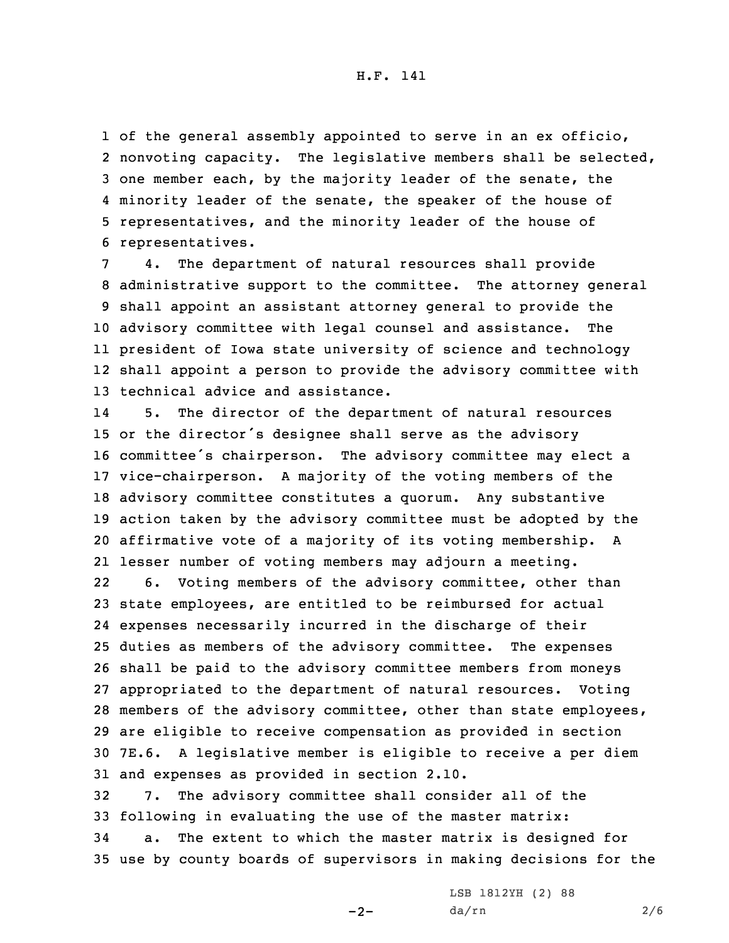H.F. 141

 of the general assembly appointed to serve in an ex officio, nonvoting capacity. The legislative members shall be selected, one member each, by the majority leader of the senate, the minority leader of the senate, the speaker of the house of representatives, and the minority leader of the house of representatives.

 4. The department of natural resources shall provide administrative support to the committee. The attorney general shall appoint an assistant attorney general to provide the advisory committee with legal counsel and assistance. The president of Iowa state university of science and technology shall appoint <sup>a</sup> person to provide the advisory committee with technical advice and assistance.

14 5. The director of the department of natural resources or the director's designee shall serve as the advisory committee's chairperson. The advisory committee may elect <sup>a</sup> vice-chairperson. <sup>A</sup> majority of the voting members of the advisory committee constitutes <sup>a</sup> quorum. Any substantive action taken by the advisory committee must be adopted by the affirmative vote of <sup>a</sup> majority of its voting membership. <sup>A</sup> lesser number of voting members may adjourn <sup>a</sup> meeting.

22 6. Voting members of the advisory committee, other than state employees, are entitled to be reimbursed for actual expenses necessarily incurred in the discharge of their duties as members of the advisory committee. The expenses shall be paid to the advisory committee members from moneys appropriated to the department of natural resources. Voting members of the advisory committee, other than state employees, are eligible to receive compensation as provided in section 7E.6. <sup>A</sup> legislative member is eligible to receive <sup>a</sup> per diem and expenses as provided in section 2.10.

 7. The advisory committee shall consider all of the following in evaluating the use of the master matrix: a. The extent to which the master matrix is designed for use by county boards of supervisors in making decisions for the

 $-2-$ 

LSB 1812YH (2) 88 da/rn 2/6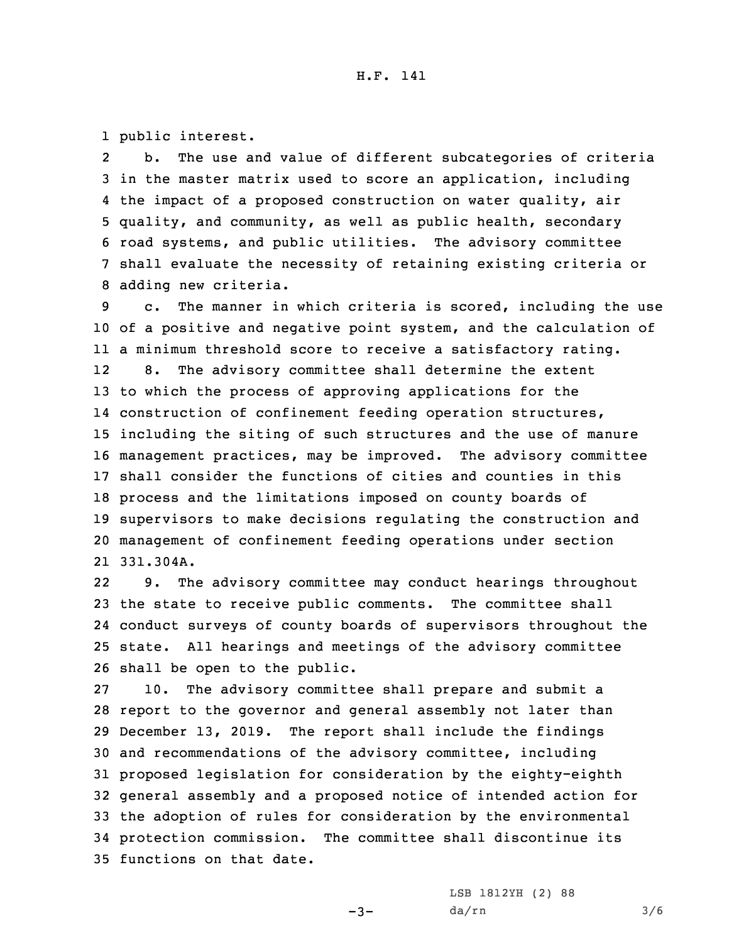1 public interest.

2 b. The use and value of different subcategories of criteria in the master matrix used to score an application, including the impact of <sup>a</sup> proposed construction on water quality, air quality, and community, as well as public health, secondary road systems, and public utilities. The advisory committee shall evaluate the necessity of retaining existing criteria or adding new criteria.

 c. The manner in which criteria is scored, including the use of <sup>a</sup> positive and negative point system, and the calculation of <sup>a</sup> minimum threshold score to receive <sup>a</sup> satisfactory rating. 12 8. The advisory committee shall determine the extent to which the process of approving applications for the construction of confinement feeding operation structures, including the siting of such structures and the use of manure management practices, may be improved. The advisory committee shall consider the functions of cities and counties in this process and the limitations imposed on county boards of supervisors to make decisions regulating the construction and management of confinement feeding operations under section 331.304A.

22 9. The advisory committee may conduct hearings throughout the state to receive public comments. The committee shall conduct surveys of county boards of supervisors throughout the state. All hearings and meetings of the advisory committee shall be open to the public.

 10. The advisory committee shall prepare and submit <sup>a</sup> report to the governor and general assembly not later than December 13, 2019. The report shall include the findings and recommendations of the advisory committee, including proposed legislation for consideration by the eighty-eighth general assembly and <sup>a</sup> proposed notice of intended action for the adoption of rules for consideration by the environmental protection commission. The committee shall discontinue its functions on that date.

 $-3-$ 

LSB 1812YH (2) 88 da/rn 3/6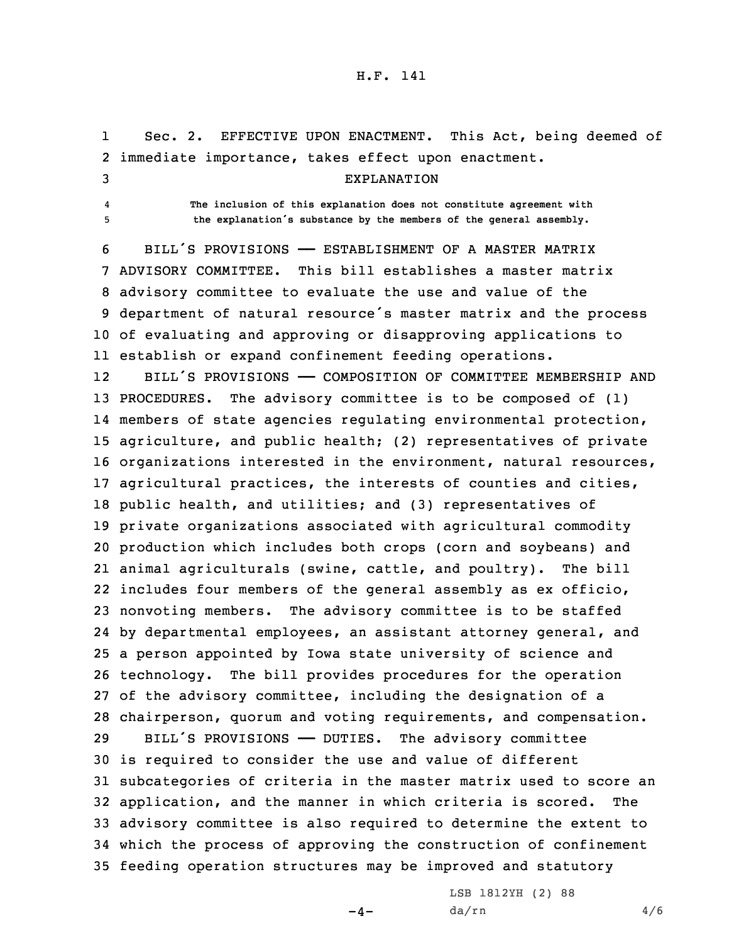## H.F. 141

1 Sec. 2. EFFECTIVE UPON ENACTMENT. This Act, being deemed of immediate importance, takes effect upon enactment. EXPLANATION 4 **The inclusion of this explanation does not constitute agreement with the explanation's substance by the members of the general assembly.** BILL'S PROVISIONS —— ESTABLISHMENT OF A MASTER MATRIX ADVISORY COMMITTEE. This bill establishes <sup>a</sup> master matrix advisory committee to evaluate the use and value of the department of natural resource's master matrix and the process of evaluating and approving or disapproving applications to establish or expand confinement feeding operations. 12 BILL'S PROVISIONS —— COMPOSITION OF COMMITTEE MEMBERSHIP AND PROCEDURES. The advisory committee is to be composed of (1) members of state agencies regulating environmental protection, agriculture, and public health; (2) representatives of private organizations interested in the environment, natural resources, agricultural practices, the interests of counties and cities, public health, and utilities; and (3) representatives of private organizations associated with agricultural commodity production which includes both crops (corn and soybeans) and animal agriculturals (swine, cattle, and poultry). The bill includes four members of the general assembly as ex officio, nonvoting members. The advisory committee is to be staffed by departmental employees, an assistant attorney general, and <sup>a</sup> person appointed by Iowa state university of science and technology. The bill provides procedures for the operation of the advisory committee, including the designation of <sup>a</sup> chairperson, quorum and voting requirements, and compensation. BILL'S PROVISIONS —— DUTIES. The advisory committee is required to consider the use and value of different subcategories of criteria in the master matrix used to score an application, and the manner in which criteria is scored. The advisory committee is also required to determine the extent to which the process of approving the construction of confinement feeding operation structures may be improved and statutory

 $-4-$ 

LSB 1812YH (2) 88  $da/rn$  4/6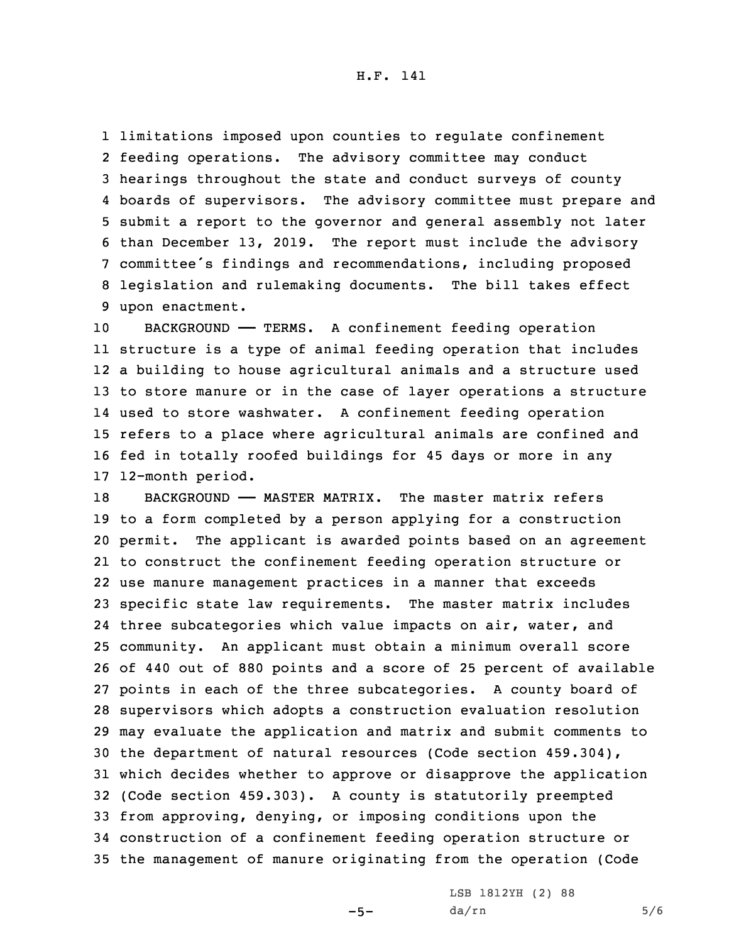limitations imposed upon counties to regulate confinement feeding operations. The advisory committee may conduct hearings throughout the state and conduct surveys of county boards of supervisors. The advisory committee must prepare and submit <sup>a</sup> report to the governor and general assembly not later than December 13, 2019. The report must include the advisory committee's findings and recommendations, including proposed legislation and rulemaking documents. The bill takes effect upon enactment.

 BACKGROUND —— TERMS. <sup>A</sup> confinement feeding operation structure is <sup>a</sup> type of animal feeding operation that includes <sup>a</sup> building to house agricultural animals and <sup>a</sup> structure used to store manure or in the case of layer operations <sup>a</sup> structure used to store washwater. <sup>A</sup> confinement feeding operation refers to <sup>a</sup> place where agricultural animals are confined and fed in totally roofed buildings for 45 days or more in any 12-month period.

18 BACKGROUND - MASTER MATRIX. The master matrix refers to <sup>a</sup> form completed by <sup>a</sup> person applying for <sup>a</sup> construction permit. The applicant is awarded points based on an agreement to construct the confinement feeding operation structure or use manure management practices in <sup>a</sup> manner that exceeds specific state law requirements. The master matrix includes three subcategories which value impacts on air, water, and community. An applicant must obtain <sup>a</sup> minimum overall score of 440 out of 880 points and <sup>a</sup> score of 25 percent of available points in each of the three subcategories. <sup>A</sup> county board of supervisors which adopts <sup>a</sup> construction evaluation resolution may evaluate the application and matrix and submit comments to the department of natural resources (Code section 459.304), which decides whether to approve or disapprove the application (Code section 459.303). <sup>A</sup> county is statutorily preempted from approving, denying, or imposing conditions upon the construction of <sup>a</sup> confinement feeding operation structure or the management of manure originating from the operation (Code

 $-5-$ 

LSB 1812YH (2) 88 da/rn 5/6